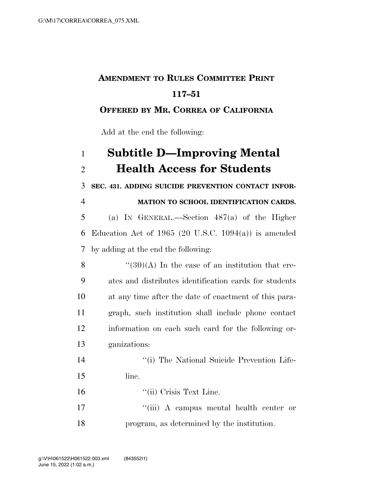## **AMENDMENT TO RULES COMMITTEE PRINT 117–51**

## **OFFERED BY MR. CORREA OF CALIFORNIA**

Add at the end the following:

| $\mathbf{1}$   | <b>Subtitle D-Improving Mental</b>                      |
|----------------|---------------------------------------------------------|
| $\overline{2}$ | <b>Health Access for Students</b>                       |
| 3              | SEC. 431. ADDING SUICIDE PREVENTION CONTACT INFOR-      |
| $\overline{4}$ | MATION TO SCHOOL IDENTIFICATION CARDS.                  |
| 5              | (a) IN GENERAL.—Section $487(a)$ of the Higher          |
| 6              | Education Act of 1965 (20 U.S.C. 1094(a)) is amended    |
| 7              | by adding at the end the following:                     |
| 8              | $\cdot$ (30)(A) In the case of an institution that cre- |
| 9              | ates and distributes identification cards for students  |
| 10             | at any time after the date of enactment of this para-   |
| 11             | graph, such institution shall include phone contact     |
| 12             | information on each such card for the following or-     |
| 13             | ganizations:                                            |
| 14             | "(i) The National Suicide Prevention Life-              |
| 15             | line.                                                   |
| 16             | "(ii) Crisis Text Line.                                 |
| 17             | "(iii) A campus mental health center or                 |

program, as determined by the institution.